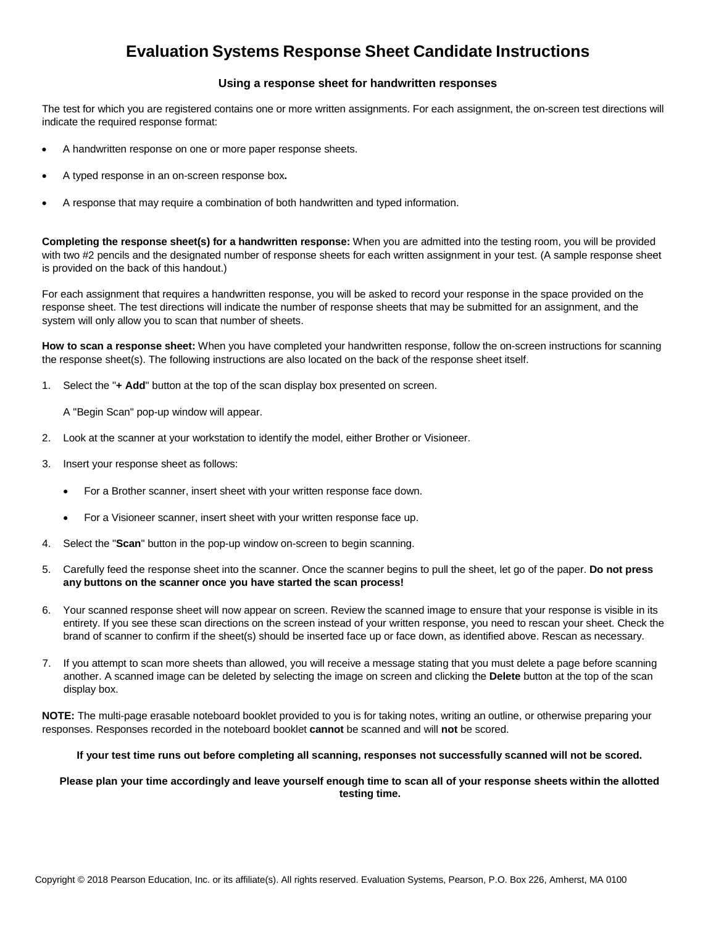## **Evaluation Systems Response Sheet Candidate Instructions**

## **Using a response sheet for handwritten responses**

The test for which you are registered contains one or more written assignments. For each assignment, the on-screen test directions will indicate the required response format:

- A handwritten response on one or more paper response sheets.
- A typed response in an on-screen response box**.**
- A response that may require a combination of both handwritten and typed information.

**Completing the response sheet(s) for a handwritten response:** When you are admitted into the testing room, you will be provided with two #2 pencils and the designated number of response sheets for each written assignment in your test. (A sample response sheet is provided on the back of this handout.)

For each assignment that requires a handwritten response, you will be asked to record your response in the space provided on the response sheet. The test directions will indicate the number of response sheets that may be submitted for an assignment, and the system will only allow you to scan that number of sheets.

**How to scan a response sheet:** When you have completed your handwritten response, follow the on-screen instructions for scanning the response sheet(s). The following instructions are also located on the back of the response sheet itself.

1. Select the "**+ Add**" button at the top of the scan display box presented on screen.

A "Begin Scan" pop-up window will appear.

- 2. Look at the scanner at your workstation to identify the model, either Brother or Visioneer.
- 3. Insert your response sheet as follows:
	- For a Brother scanner, insert sheet with your written response face down.
	- For a Visioneer scanner, insert sheet with your written response face up.
- 4. Select the "**Scan**" button in the pop-up window on-screen to begin scanning.
- 5. Carefully feed the response sheet into the scanner. Once the scanner begins to pull the sheet, let go of the paper. **Do not press any buttons on the scanner once you have started the scan process!**
- 6. Your scanned response sheet will now appear on screen. Review the scanned image to ensure that your response is visible in its entirety. If you see these scan directions on the screen instead of your written response, you need to rescan your sheet. Check the brand of scanner to confirm if the sheet(s) should be inserted face up or face down, as identified above. Rescan as necessary.
- 7. If you attempt to scan more sheets than allowed, you will receive a message stating that you must delete a page before scanning another. A scanned image can be deleted by selecting the image on screen and clicking the **Delete** button at the top of the scan display box.

**NOTE:** The multi-page erasable noteboard booklet provided to you is for taking notes, writing an outline, or otherwise preparing your responses. Responses recorded in the noteboard booklet **cannot** be scanned and will **not** be scored.

## **If your test time runs out before completing all scanning, responses not successfully scanned will not be scored.**

## **Please plan your time accordingly and leave yourself enough time to scan all of your response sheets within the allotted testing time.**